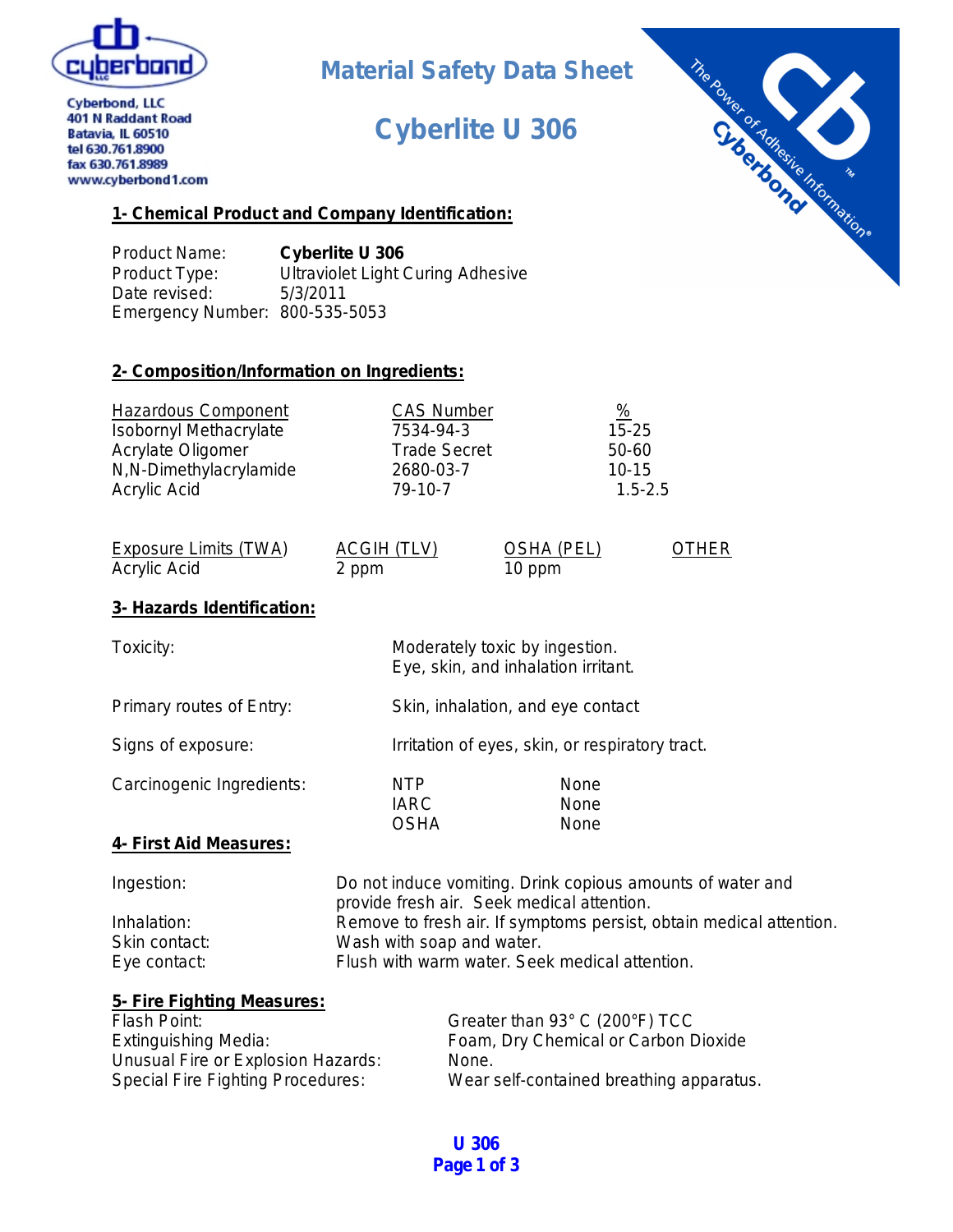

## **Material Safety Data Sheet**

# **Cyberlite U 306**



**Cyberbond, LLC** 401 N Raddant Road Batavia, IL 60510 tel 630.761.8900 fax 630.761.8989 www.cyberbond1.com

## **1- Chemical Product and Company Identification:**

Product Name: **Cyberlite U 306** Product Type: Ultraviolet Light Curing Adhesive Date revised: 5/3/2011 Emergency Number: 800-535-5053

## **2- Composition/Information on Ingredients:**

| <b>Hazardous Component</b>    | <b>CAS Number</b>   | $\frac{9}{6}$ |
|-------------------------------|---------------------|---------------|
| <b>Isobornyl Methacrylate</b> | 7534-94-3           | $15 - 25$     |
| Acrylate Oligomer             | <b>Trade Secret</b> | 50-60         |
| N,N-Dimethylacrylamide        | 2680-03-7           | $10 - 15$     |
| Acrylic Acid                  | 79-10-7             | $1.5 - 2.5$   |

| Exposure Limits (TWA) | ACGIH (TLV) | OSHA (PEL) | <b>OTHER</b> |
|-----------------------|-------------|------------|--------------|
| Acrylic Acid          | 2 ppm       | 10 ppm     |              |

## **3- Hazards Identification:**

| Toxicity:                     | Moderately toxic by ingestion.           | Eye, skin, and inhalation irritant.                        |
|-------------------------------|------------------------------------------|------------------------------------------------------------|
| Primary routes of Entry:      |                                          | Skin, inhalation, and eye contact                          |
| Signs of exposure:            |                                          | Irritation of eyes, skin, or respiratory tract.            |
| Carcinogenic Ingredients:     | <b>NTP</b><br><b>IARC</b><br><b>OSHA</b> | None<br>None<br>None                                       |
| <u>4- First Aid Measures:</u> |                                          |                                                            |
| المستحلف والمستحدث            |                                          | De met in dusse versiting. Dainly semious speculate of ups |

| Ingestion:    | Do not induce vomiting. Drink copious amounts of water and          |
|---------------|---------------------------------------------------------------------|
|               | provide fresh air. Seek medical attention.                          |
| Inhalation:   | Remove to fresh air. If symptoms persist, obtain medical attention. |
| Skin contact: | Wash with soap and water.                                           |
| Eye contact:  | Flush with warm water. Seek medical attention.                      |

| 5- Fire Fighting Measures:               |                                          |
|------------------------------------------|------------------------------------------|
| Flash Point:                             | Greater than 93° C (200°F) TCC           |
| <b>Extinguishing Media:</b>              | Foam, Dry Chemical or Carbon Dioxide     |
| Unusual Fire or Explosion Hazards:       | None.                                    |
| <b>Special Fire Fighting Procedures:</b> | Wear self-contained breathing apparatus. |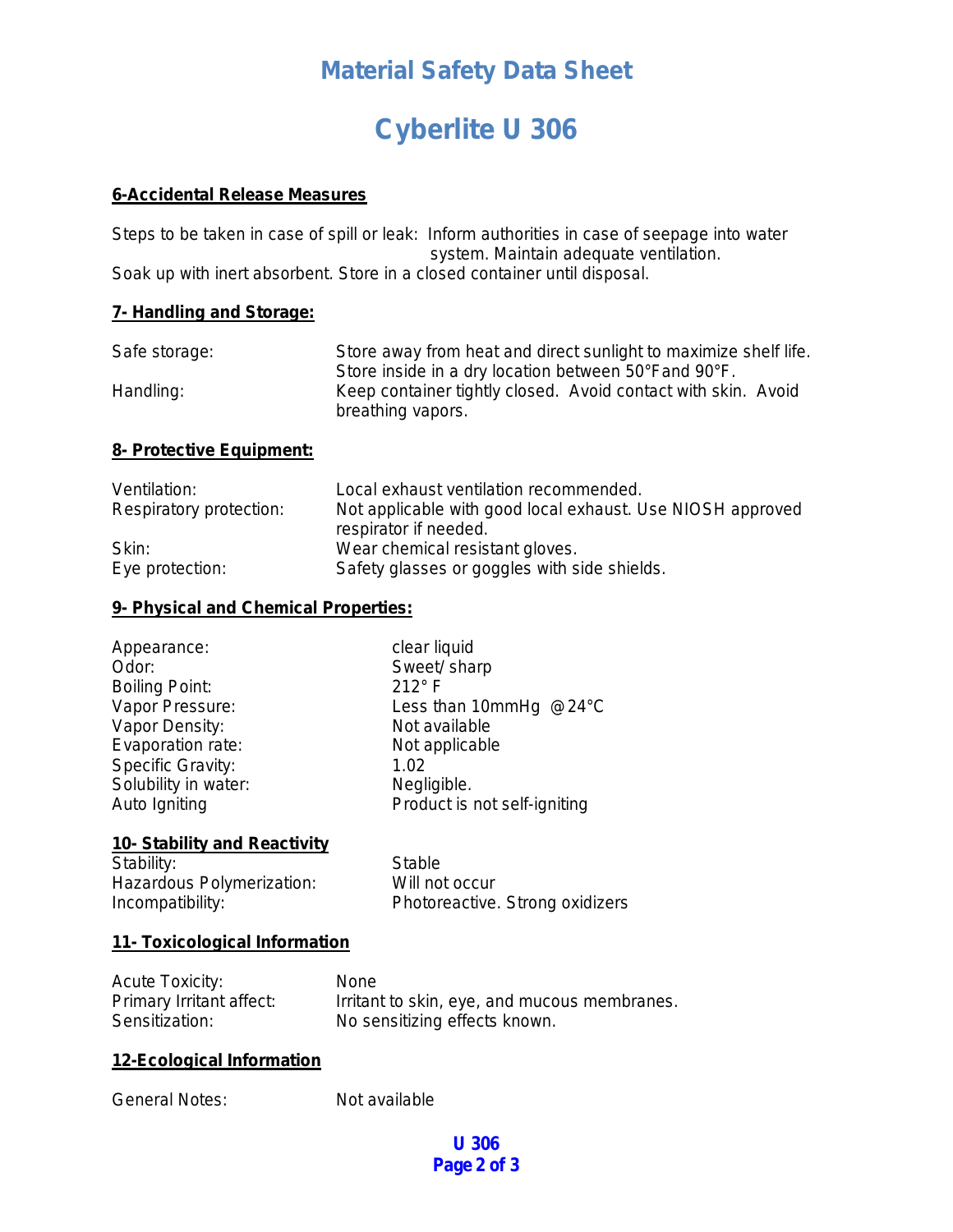## **Material Safety Data Sheet**

# **Cyberlite U 306**

#### **6-Accidental Release Measures**

Steps to be taken in case of spill or leak: Inform authorities in case of seepage into water system. Maintain adequate ventilation. Soak up with inert absorbent. Store in a closed container until disposal.

## **7- Handling and Storage:**

| Safe storage: | Store away from heat and direct sunlight to maximize shelf life. |
|---------------|------------------------------------------------------------------|
|               | Store inside in a dry location between 50°Fand 90°F.             |
| Handling:     | Keep container tightly closed. Avoid contact with skin. Avoid    |
|               | breathing vapors.                                                |

#### **8- Protective Equipment:**

| Ventilation:            | Local exhaust ventilation recommended.                     |
|-------------------------|------------------------------------------------------------|
| Respiratory protection: | Not applicable with good local exhaust. Use NIOSH approved |
|                         | respirator if needed.                                      |
| Skin:                   | Wear chemical resistant gloves.                            |
| Eye protection:         | Safety glasses or goggles with side shields.               |

## **9- Physical and Chemical Properties:**

| Appearance:           | clear liquid                 |
|-----------------------|------------------------------|
| Odor:                 | Sweet/ sharp                 |
| <b>Boiling Point:</b> | $212^\circ$ F                |
| Vapor Pressure:       | Less than 10mmHg @24°C       |
| Vapor Density:        | Not available                |
| Evaporation rate:     | Not applicable               |
| Specific Gravity:     | 1.02                         |
| Solubility in water:  | Negligible.                  |
| Auto Igniting         | Product is not self-igniting |

#### **10- Stability and Reactivity**

Stability: Stable Hazardous Polymerization: Will not occur

Incompatibility: Photoreactive. Strong oxidizers

#### **11- Toxicological Information**

| <b>Acute Toxicity:</b>   | <b>None</b>                                  |
|--------------------------|----------------------------------------------|
| Primary Irritant affect: | Irritant to skin, eye, and mucous membranes. |
| Sensitization:           | No sensitizing effects known.                |

## **12-Ecological Information**

General Notes: Not available

## **U 306 Page 2 of 3**